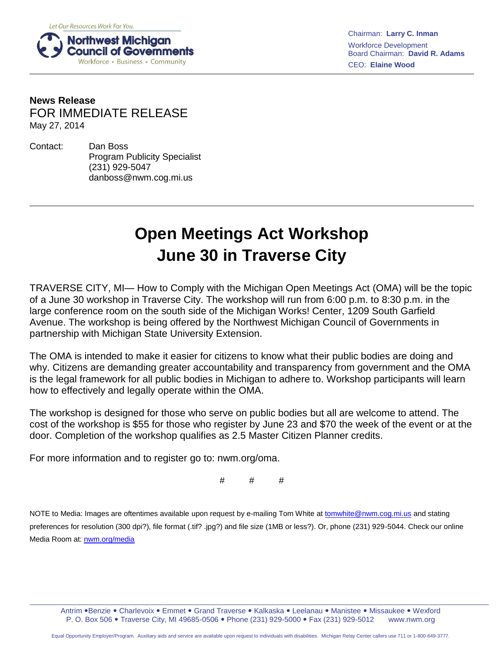

Chairman: **Larry C. Inman** Workforce Development Board Chairman: **David R. Adams** CEO: **Elaine Wood**

## **News Release** FOR IMMEDIATE RELEASE May 27, 2014

Contact: Dan Boss Program Publicity Specialist (231) 929-5047 danboss@nwm.cog.mi.us

## **Open Meetings Act Workshop June 30 in Traverse City**

TRAVERSE CITY, MI— How to Comply with the Michigan Open Meetings Act (OMA) will be the topic of a June 30 workshop in Traverse City. The workshop will run from 6:00 p.m. to 8:30 p.m. in the large conference room on the south side of the Michigan Works! Center, 1209 South Garfield Avenue. The workshop is being offered by the Northwest Michigan Council of Governments in partnership with Michigan State University Extension.

The OMA is intended to make it easier for citizens to know what their public bodies are doing and why. Citizens are demanding greater accountability and transparency from government and the OMA is the legal framework for all public bodies in Michigan to adhere to. Workshop participants will learn how to effectively and legally operate within the OMA.

The workshop is designed for those who serve on public bodies but all are welcome to attend. The cost of the workshop is \$55 for those who register by June 23 and \$70 the week of the event or at the door. Completion of the workshop qualifies as 2.5 Master Citizen Planner credits.

For more information and to register go to: nwm.org/oma.

# # #

NOTE to Media: Images are oftentimes available upon request by e-mailing Tom White a[t tomwhite@nwm.cog.mi.us](mailto:tomwhite@nwm.cog.mi.us) and stating preferences for resolution (300 dpi?), file format (.tif? .jpg?) and file size (1MB or less?). Or, phone (231) 929-5044. Check our online Media Room at: [nwm.org/media](http://nwm.org/media) 

Antrim .Benzie . Charlevoix . Emmet . Grand Traverse . Kalkaska . Leelanau . Manistee . Missaukee . Wexford P. O. Box 506 . Traverse City, MI 49685-0506 . Phone (231) 929-5000 . Fax (231) 929-5012 www.nwm.org